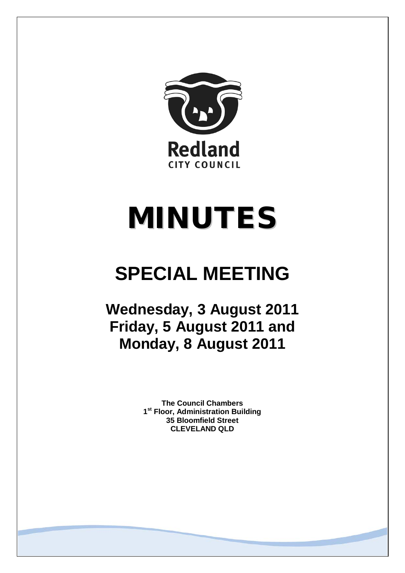

# MINUTES

## **SPECIAL MEETING**

## **Wednesday, 3 August 2011 Friday, 5 August 2011 and Monday, 8 August 2011**

**The Council Chambers 1st Floor, Administration Building 35 Bloomfield Street CLEVELAND QLD**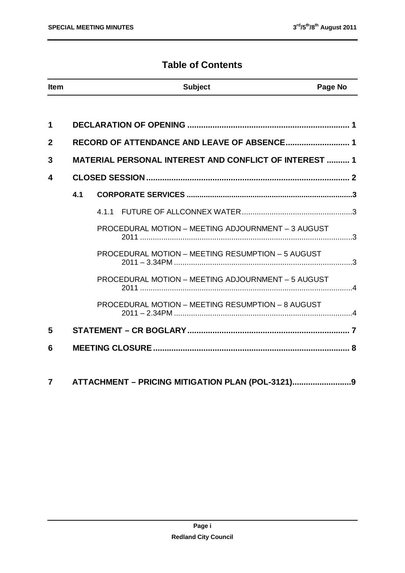#### **Table of Contents**

| <b>Item</b>    |     | <b>Subject</b>                                                | Page No |  |
|----------------|-----|---------------------------------------------------------------|---------|--|
|                |     |                                                               |         |  |
| 1              |     |                                                               |         |  |
| $\overline{2}$ |     |                                                               |         |  |
| 3              |     | <b>MATERIAL PERSONAL INTEREST AND CONFLICT OF INTEREST  1</b> |         |  |
| 4              |     |                                                               |         |  |
|                | 4.1 |                                                               |         |  |
|                |     |                                                               |         |  |
|                |     | <b>PROCEDURAL MOTION - MEETING ADJOURNMENT - 3 AUGUST</b>     |         |  |
|                |     | PROCEDURAL MOTION - MEETING RESUMPTION - 5 AUGUST             |         |  |
|                |     | PROCEDURAL MOTION - MEETING ADJOURNMENT - 5 AUGUST            |         |  |
|                |     | PROCEDURAL MOTION - MEETING RESUMPTION - 8 AUGUST             |         |  |
| 5              |     |                                                               |         |  |
| 6              |     |                                                               |         |  |
|                |     |                                                               |         |  |

**7 ATTACHMENT – PRICING MITIGATION PLAN (POL-3121)..........................9**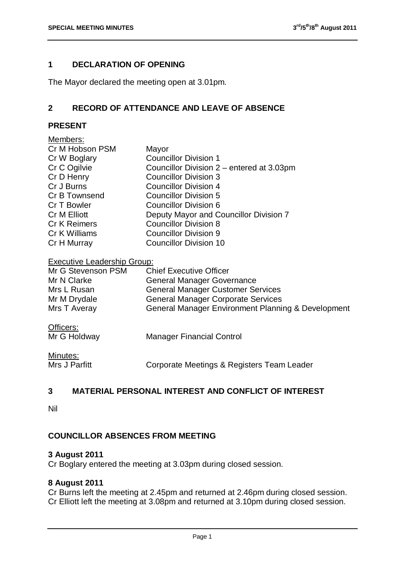#### <span id="page-2-0"></span>**1 DECLARATION OF OPENING**

The Mayor declared the meeting open at 3.01pm.

#### <span id="page-2-1"></span>**2 RECORD OF ATTENDANCE AND LEAVE OF ABSENCE**

#### **PRESENT**

| Members:            |                                           |
|---------------------|-------------------------------------------|
| Cr M Hobson PSM     | Mayor                                     |
| Cr W Boglary        | <b>Councillor Division 1</b>              |
| Cr C Ogilvie        | Councillor Division 2 – entered at 3.03pm |
| Cr D Henry          | <b>Councillor Division 3</b>              |
| Cr J Burns          | <b>Councillor Division 4</b>              |
| Cr B Townsend       | <b>Councillor Division 5</b>              |
| Cr T Bowler         | Councillor Division 6                     |
| <b>Cr M Elliott</b> | Deputy Mayor and Councillor Division 7    |
| <b>Cr K Reimers</b> | <b>Councillor Division 8</b>              |
| Cr K Williams       | <b>Councillor Division 9</b>              |
| Cr H Murray         | <b>Councillor Division 10</b>             |
|                     |                                           |

#### Executive Leadership Group:

| Mr G Stevenson PSM | <b>Chief Executive Officer</b>                     |
|--------------------|----------------------------------------------------|
| Mr N Clarke        | <b>General Manager Governance</b>                  |
| Mrs L Rusan        | <b>General Manager Customer Services</b>           |
| Mr M Drydale       | <b>General Manager Corporate Services</b>          |
| Mrs T Averay       | General Manager Environment Planning & Development |

#### Officers:

| Mr G Holdway  | <b>Manager Financial Control</b>           |
|---------------|--------------------------------------------|
| Minutes:      |                                            |
| Mrs J Parfitt | Corporate Meetings & Registers Team Leader |

#### <span id="page-2-2"></span>**3 MATERIAL PERSONAL INTEREST AND CONFLICT OF INTEREST**

Nil

#### **COUNCILLOR ABSENCES FROM MEETING**

#### **3 August 2011**

Cr Boglary entered the meeting at 3.03pm during closed session.

#### **8 August 2011**

Cr Burns left the meeting at 2.45pm and returned at 2.46pm during closed session. Cr Elliott left the meeting at 3.08pm and returned at 3.10pm during closed session.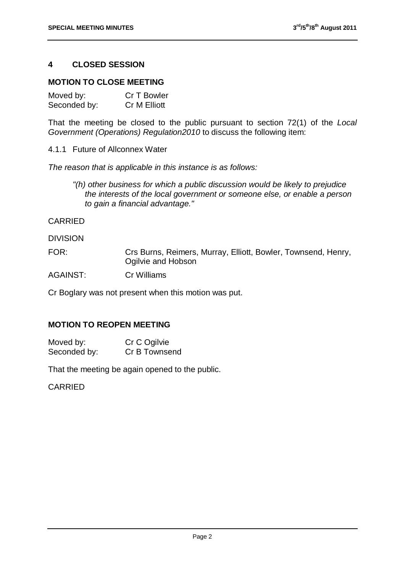#### <span id="page-3-0"></span>**4 CLOSED SESSION**

#### **MOTION TO CLOSE MEETING**

| Moved by:    | Cr T Bowler  |
|--------------|--------------|
| Seconded by: | Cr M Elliott |

That the meeting be closed to the public pursuant to section 72(1) of the *Local Government (Operations) Regulation2010* to discuss the following item:

4.1.1 Future of Allconnex Water

*The reason that is applicable in this instance is as follows:*

*"(h) other business for which a public discussion would be likely to prejudice the interests of the local government or someone else, or enable a person to gain a financial advantage."*

CARRIED

DIVISION

FOR: Crs Burns, Reimers, Murray, Elliott, Bowler, Townsend, Henry, Ogilvie and Hobson

AGAINST: Cr Williams

Cr Boglary was not present when this motion was put.

#### **MOTION TO REOPEN MEETING**

| Moved by:    | Cr C Ogilvie  |
|--------------|---------------|
| Seconded by: | Cr B Townsend |

That the meeting be again opened to the public.

CARRIED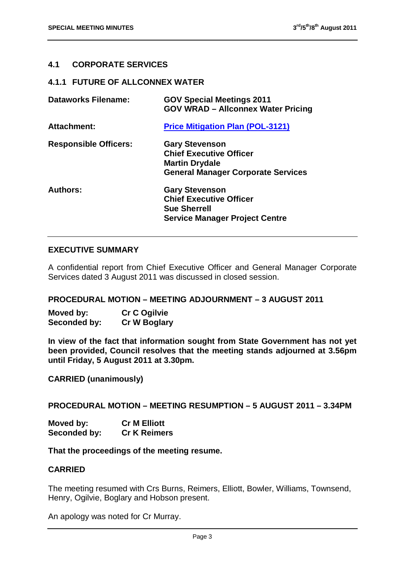#### <span id="page-4-0"></span>**4.1 CORPORATE SERVICES**

#### <span id="page-4-1"></span>**4.1.1 FUTURE OF ALLCONNEX WATER**

| <b>Dataworks Filename:</b>   | <b>GOV Special Meetings 2011</b><br><b>GOV WRAD - Allconnex Water Pricing</b>                                                 |
|------------------------------|-------------------------------------------------------------------------------------------------------------------------------|
| Attachment:                  | <b>Price Mitigation Plan (POL-3121)</b>                                                                                       |
| <b>Responsible Officers:</b> | <b>Gary Stevenson</b><br><b>Chief Executive Officer</b><br><b>Martin Drydale</b><br><b>General Manager Corporate Services</b> |
| <b>Authors:</b>              | <b>Gary Stevenson</b><br><b>Chief Executive Officer</b><br><b>Sue Sherrell</b><br><b>Service Manager Project Centre</b>       |

#### **EXECUTIVE SUMMARY**

A confidential report from Chief Executive Officer and General Manager Corporate Services dated 3 August 2011 was discussed in closed session.

#### <span id="page-4-2"></span>**PROCEDURAL MOTION – MEETING ADJOURNMENT – 3 AUGUST 2011**

**Moved by: Cr C Ogilvie Seconded by: Cr W Boglary**

**In view of the fact that information sought from State Government has not yet been provided, Council resolves that the meeting stands adjourned at 3.56pm until Friday, 5 August 2011 at 3.30pm.**

**CARRIED (unanimously)**

<span id="page-4-3"></span>**PROCEDURAL MOTION – MEETING RESUMPTION – 5 AUGUST 2011 – 3.34PM**

**Moved by: Cr M Elliott Seconded by: Cr K Reimers**

**That the proceedings of the meeting resume.**

#### **CARRIED**

The meeting resumed with Crs Burns, Reimers, Elliott, Bowler, Williams, Townsend, Henry, Ogilvie, Boglary and Hobson present.

An apology was noted for Cr Murray.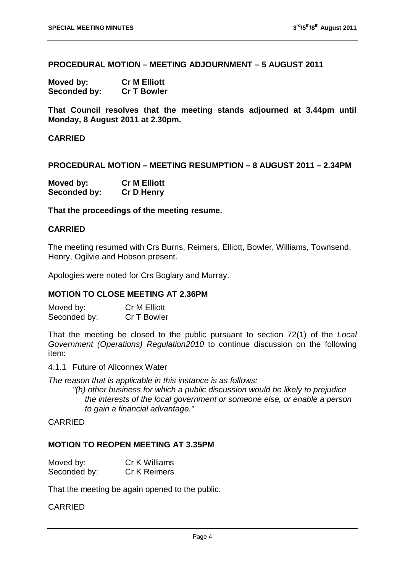<span id="page-5-0"></span>**PROCEDURAL MOTION – MEETING ADJOURNMENT – 5 AUGUST 2011**

**Moved by: Cr M Elliott Seconded by: Cr T Bowler**

**That Council resolves that the meeting stands adjourned at 3.44pm until Monday, 8 August 2011 at 2.30pm.**

**CARRIED** 

<span id="page-5-1"></span>**PROCEDURAL MOTION – MEETING RESUMPTION – 8 AUGUST 2011 – 2.34PM**

| Moved by:    | <b>Cr M Elliott</b> |
|--------------|---------------------|
| Seconded by: | <b>Cr D Henry</b>   |

**That the proceedings of the meeting resume.**

#### **CARRIED**

The meeting resumed with Crs Burns, Reimers, Elliott, Bowler, Williams, Townsend, Henry, Ogilvie and Hobson present.

Apologies were noted for Crs Boglary and Murray.

#### **MOTION TO CLOSE MEETING AT 2.36PM**

Moved by: Cr M Elliott<br>Seconded by: Cr T Bowler Seconded by:

That the meeting be closed to the public pursuant to section 72(1) of the *Local Government (Operations) Regulation2010* to continue discussion on the following item:

4.1.1 Future of Allconnex Water

*The reason that is applicable in this instance is as follows:*

*"(h) other business for which a public discussion would be likely to prejudice the interests of the local government or someone else, or enable a person to gain a financial advantage."*

#### CARRIED

#### **MOTION TO REOPEN MEETING AT 3.35PM**

| Moved by:    | Cr K Williams       |
|--------------|---------------------|
| Seconded by: | <b>Cr K Reimers</b> |

That the meeting be again opened to the public.

#### CARRIED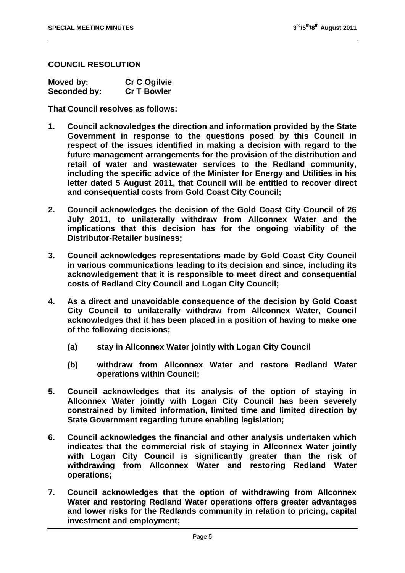#### **COUNCIL RESOLUTION**

| Moved by:    | <b>Cr C Ogilvie</b> |
|--------------|---------------------|
| Seconded by: | <b>Cr T Bowler</b>  |

**That Council resolves as follows:**

- **1. Council acknowledges the direction and information provided by the State Government in response to the questions posed by this Council in respect of the issues identified in making a decision with regard to the future management arrangements for the provision of the distribution and retail of water and wastewater services to the Redland community, including the specific advice of the Minister for Energy and Utilities in his letter dated 5 August 2011, that Council will be entitled to recover direct and consequential costs from Gold Coast City Council;**
- **2. Council acknowledges the decision of the Gold Coast City Council of 26 July 2011, to unilaterally withdraw from Allconnex Water and the implications that this decision has for the ongoing viability of the Distributor-Retailer business;**
- **3. Council acknowledges representations made by Gold Coast City Council in various communications leading to its decision and since, including its acknowledgement that it is responsible to meet direct and consequential costs of Redland City Council and Logan City Council;**
- **4. As a direct and unavoidable consequence of the decision by Gold Coast City Council to unilaterally withdraw from Allconnex Water, Council acknowledges that it has been placed in a position of having to make one of the following decisions;**
	- **(a) stay in Allconnex Water jointly with Logan City Council**
	- **(b) withdraw from Allconnex Water and restore Redland Water operations within Council;**
- **5. Council acknowledges that its analysis of the option of staying in Allconnex Water jointly with Logan City Council has been severely constrained by limited information, limited time and limited direction by State Government regarding future enabling legislation;**
- **6. Council acknowledges the financial and other analysis undertaken which indicates that the commercial risk of staying in Allconnex Water jointly with Logan City Council is significantly greater than the risk of withdrawing from Allconnex Water and restoring Redland Water operations;**
- **7. Council acknowledges that the option of withdrawing from Allconnex Water and restoring Redland Water operations offers greater advantages and lower risks for the Redlands community in relation to pricing, capital investment and employment;**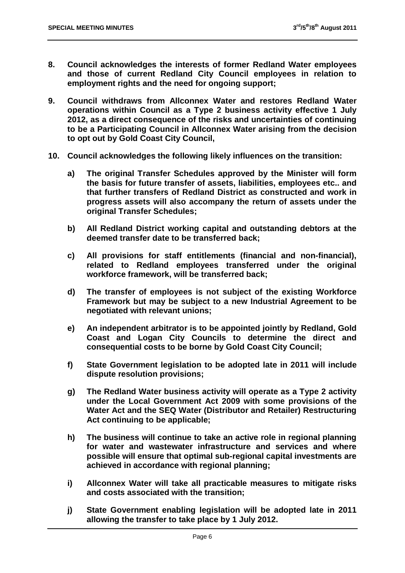- **8. Council acknowledges the interests of former Redland Water employees and those of current Redland City Council employees in relation to employment rights and the need for ongoing support;**
- **9. Council withdraws from Allconnex Water and restores Redland Water operations within Council as a Type 2 business activity effective 1 July 2012, as a direct consequence of the risks and uncertainties of continuing to be a Participating Council in Allconnex Water arising from the decision to opt out by Gold Coast City Council,**
- **10. Council acknowledges the following likely influences on the transition:**
	- **a) The original Transfer Schedules approved by the Minister will form the basis for future transfer of assets, liabilities, employees etc.. and that further transfers of Redland District as constructed and work in progress assets will also accompany the return of assets under the original Transfer Schedules;**
	- **b) All Redland District working capital and outstanding debtors at the deemed transfer date to be transferred back;**
	- **c) All provisions for staff entitlements (financial and non-financial), related to Redland employees transferred under the original workforce framework, will be transferred back;**
	- **d) The transfer of employees is not subject of the existing Workforce Framework but may be subject to a new Industrial Agreement to be negotiated with relevant unions;**
	- **e) An independent arbitrator is to be appointed jointly by Redland, Gold Coast and Logan City Councils to determine the direct and consequential costs to be borne by Gold Coast City Council;**
	- **f) State Government legislation to be adopted late in 2011 will include dispute resolution provisions;**
	- **g) The Redland Water business activity will operate as a Type 2 activity under the Local Government Act 2009 with some provisions of the Water Act and the SEQ Water (Distributor and Retailer) Restructuring Act continuing to be applicable;**
	- **h) The business will continue to take an active role in regional planning for water and wastewater infrastructure and services and where possible will ensure that optimal sub-regional capital investments are achieved in accordance with regional planning;**
	- **i) Allconnex Water will take all practicable measures to mitigate risks and costs associated with the transition;**
	- **j) State Government enabling legislation will be adopted late in 2011 allowing the transfer to take place by 1 July 2012.**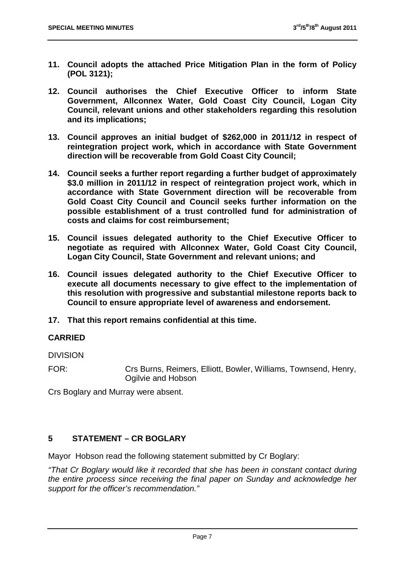- **11. Council adopts the attached Price Mitigation Plan in the form of Policy (POL 3121);**
- **12. Council authorises the Chief Executive Officer to inform State Government, Allconnex Water, Gold Coast City Council, Logan City Council, relevant unions and other stakeholders regarding this resolution and its implications;**
- **13. Council approves an initial budget of \$262,000 in 2011/12 in respect of reintegration project work, which in accordance with State Government direction will be recoverable from Gold Coast City Council;**
- **14. Council seeks a further report regarding a further budget of approximately \$3.0 million in 2011/12 in respect of reintegration project work, which in accordance with State Government direction will be recoverable from Gold Coast City Council and Council seeks further information on the possible establishment of a trust controlled fund for administration of costs and claims for cost reimbursement;**
- **15. Council issues delegated authority to the Chief Executive Officer to negotiate as required with Allconnex Water, Gold Coast City Council, Logan City Council, State Government and relevant unions; and**
- **16. Council issues delegated authority to the Chief Executive Officer to execute all documents necessary to give effect to the implementation of this resolution with progressive and substantial milestone reports back to Council to ensure appropriate level of awareness and endorsement.**
- **17. That this report remains confidential at this time.**

#### **CARRIED**

DIVISION

FOR: Crs Burns, Reimers, Elliott, Bowler, Williams, Townsend, Henry, Ogilvie and Hobson

Crs Boglary and Murray were absent.

#### <span id="page-8-0"></span>**5 STATEMENT – CR BOGLARY**

Mayor Hobson read the following statement submitted by Cr Boglary:

*"That Cr Boglary would like it recorded that she has been in constant contact during the entire process since receiving the final paper on Sunday and acknowledge her support for the officer's recommendation."*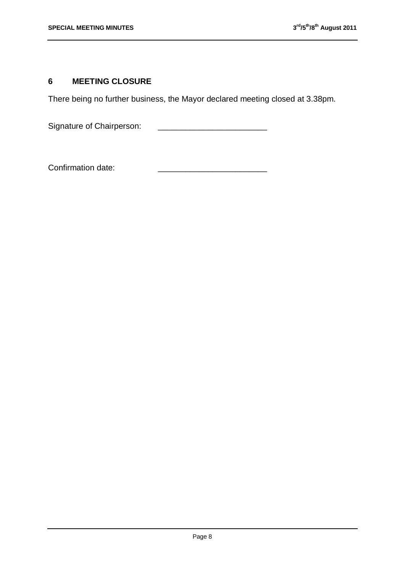#### <span id="page-9-0"></span>**6 MEETING CLOSURE**

There being no further business, the Mayor declared meeting closed at 3.38pm.

Signature of Chairperson: \_\_\_\_\_\_\_\_\_\_\_\_\_\_\_\_\_\_\_\_\_\_\_\_

Confirmation date: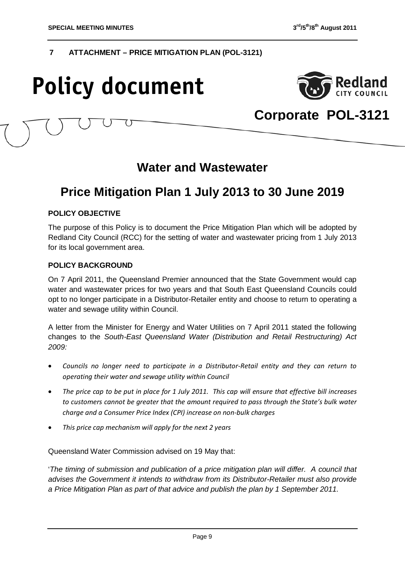#### **7 ATTACHMENT – PRICE MITIGATION PLAN (POL-3121)**

## **Policy document**



### **Corporate POL-3121**

### **Water and Wastewater**

### **Price Mitigation Plan 1 July 2013 to 30 June 2019**

#### **POLICY OBJECTIVE**

The purpose of this Policy is to document the Price Mitigation Plan which will be adopted by Redland City Council (RCC) for the setting of water and wastewater pricing from 1 July 2013 for its local government area.

#### **POLICY BACKGROUND**

On 7 April 2011, the Queensland Premier announced that the State Government would cap water and wastewater prices for two years and that South East Queensland Councils could opt to no longer participate in a Distributor-Retailer entity and choose to return to operating a water and sewage utility within Council.

A letter from the Minister for Energy and Water Utilities on 7 April 2011 stated the following changes to the *South-East Queensland Water (Distribution and Retail Restructuring) Act 2009:*

- *Councils no longer need to participate in a Distributor-Retail entity and they can return to operating their water and sewage utility within Council*
- *The price cap to be put in place for 1 July 2011. This cap will ensure that effective bill increases to customers cannot be greater that the amount required to pass through the State's bulk water charge and a Consumer Price Index (CPI) increase on non-bulk charges*
- *This price cap mechanism will apply for the next 2 years*

Queensland Water Commission advised on 19 May that:

'*The timing of submission and publication of a price mitigation plan will differ. A council that advises the Government it intends to withdraw from its Distributor-Retailer must also provide a Price Mitigation Plan as part of that advice and publish the plan by 1 September 2011.*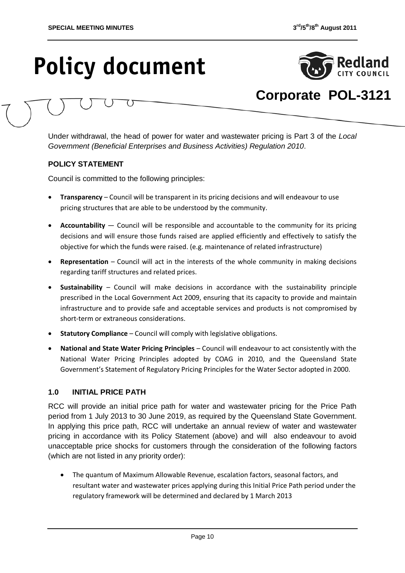

## **Corporate POL-3121**

Under withdrawal, the head of power for water and wastewater pricing is Part 3 of the *Local Government (Beneficial Enterprises and Business Activities) Regulation 2010*.

#### **POLICY STATEMENT**

Council is committed to the following principles:

- **Transparency** Council will be transparent in its pricing decisions and will endeavour to use pricing structures that are able to be understood by the community.
- **Accountability** ― Council will be responsible and accountable to the community for its pricing decisions and will ensure those funds raised are applied efficiently and effectively to satisfy the objective for which the funds were raised. (e.g. maintenance of related infrastructure)
- **Representation**  Council will act in the interests of the whole community in making decisions regarding tariff structures and related prices.
- **Sustainability**  Council will make decisions in accordance with the sustainability principle prescribed in the Local Government Act 2009, ensuring that its capacity to provide and maintain infrastructure and to provide safe and acceptable services and products is not compromised by short-term or extraneous considerations.
- **Statutory Compliance**  Council will comply with legislative obligations.
- **National and State Water Pricing Principles** Council will endeavour to act consistently with the National Water Pricing Principles adopted by COAG in 2010, and the Queensland State Government's Statement of Regulatory Pricing Principles for the Water Sector adopted in 2000.

#### **1.0 INITIAL PRICE PATH**

RCC will provide an initial price path for water and wastewater pricing for the Price Path period from 1 July 2013 to 30 June 2019, as required by the Queensland State Government. In applying this price path, RCC will undertake an annual review of water and wastewater pricing in accordance with its Policy Statement (above) and will also endeavour to avoid unacceptable price shocks for customers through the consideration of the following factors (which are not listed in any priority order):

• The quantum of Maximum Allowable Revenue, escalation factors, seasonal factors, and resultant water and wastewater prices applying during this Initial Price Path period under the regulatory framework will be determined and declared by 1 March 2013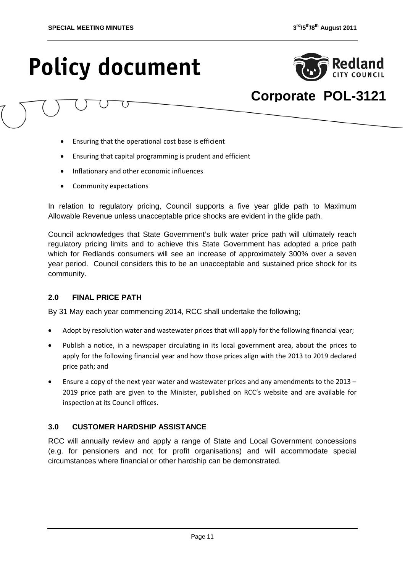

## **Corporate POL-3121**

- Ensuring that the operational cost base is efficient
- Ensuring that capital programming is prudent and efficient
- Inflationary and other economic influences
- Community expectations

In relation to regulatory pricing, Council supports a five year glide path to Maximum Allowable Revenue unless unacceptable price shocks are evident in the glide path.

Council acknowledges that State Government's bulk water price path will ultimately reach regulatory pricing limits and to achieve this State Government has adopted a price path which for Redlands consumers will see an increase of approximately 300% over a seven year period. Council considers this to be an unacceptable and sustained price shock for its community.

#### **2.0 FINAL PRICE PATH**

By 31 May each year commencing 2014, RCC shall undertake the following;

- Adopt by resolution water and wastewater prices that will apply for the following financial year;
- Publish a notice, in a newspaper circulating in its local government area, about the prices to apply for the following financial year and how those prices align with the 2013 to 2019 declared price path; and
- Ensure a copy of the next year water and wastewater prices and any amendments to the 2013 2019 price path are given to the Minister, published on RCC's website and are available for inspection at its Council offices.

#### **3.0 CUSTOMER HARDSHIP ASSISTANCE**

RCC will annually review and apply a range of State and Local Government concessions (e.g. for pensioners and not for profit organisations) and will accommodate special circumstances where financial or other hardship can be demonstrated.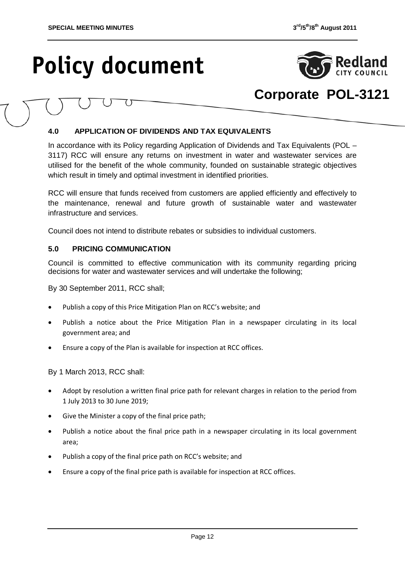

### **Corporate POL-3121**

#### **4.0 APPLICATION OF DIVIDENDS AND TAX EQUIVALENTS**

In accordance with its Policy regarding Application of Dividends and Tax Equivalents (POL – 3117) RCC will ensure any returns on investment in water and wastewater services are utilised for the benefit of the whole community, founded on sustainable strategic objectives which result in timely and optimal investment in identified priorities.

RCC will ensure that funds received from customers are applied efficiently and effectively to the maintenance, renewal and future growth of sustainable water and wastewater infrastructure and services.

Council does not intend to distribute rebates or subsidies to individual customers.

#### **5.0 PRICING COMMUNICATION**

Council is committed to effective communication with its community regarding pricing decisions for water and wastewater services and will undertake the following;

By 30 September 2011, RCC shall;

- Publish a copy of this Price Mitigation Plan on RCC's website; and
- Publish a notice about the Price Mitigation Plan in a newspaper circulating in its local government area; and
- Ensure a copy of the Plan is available for inspection at RCC offices.

By 1 March 2013, RCC shall:

- Adopt by resolution a written final price path for relevant charges in relation to the period from 1 July 2013 to 30 June 2019;
- Give the Minister a copy of the final price path;
- Publish a notice about the final price path in a newspaper circulating in its local government area;
- Publish a copy of the final price path on RCC's website; and
- Ensure a copy of the final price path is available for inspection at RCC offices.